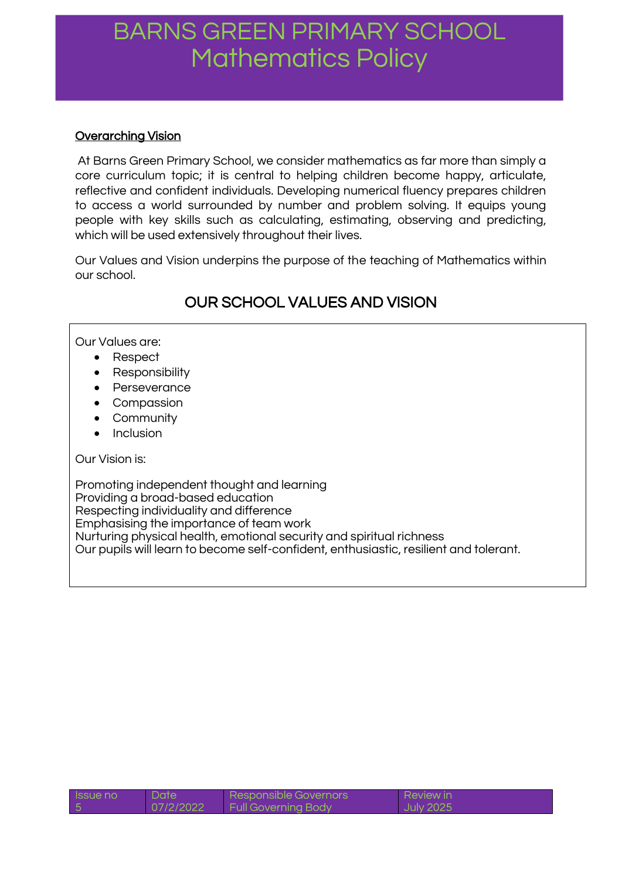# **Overarching Vision**

At Barns Green Primary School, we consider mathematics as far more than simply a core curriculum topic; it is central to helping children become happy, articulate, reflective and confident individuals. Developing numerical fluency prepares children to access a world surrounded by number and problem solving. It equips young people with key skills such as calculating, estimating, observing and predicting, which will be used extensively throughout their lives.

Our Values and Vision underpins the purpose of the teaching of Mathematics within our school.

# OUR SCHOOL VALUES AND VISION

## Our Values are:

- Respect
- Responsibility
- Perseverance
- Compassion
- Community
- Inclusion

### Our Vision is:

Promoting independent thought and learning Providing a broad-based education Respecting individuality and difference Emphasising the importance of team work Nurturing physical health, emotional security and spiritual richness Our pupils will learn to become self-confident, enthusiastic, resilient and tolerant.

| Issue no | <b>Date</b> | <b>Responsible Governors</b> | <b>Review in</b> |
|----------|-------------|------------------------------|------------------|
| 5        | 07/2/2022   | <b>Full Governing Body</b>   | l July 2025      |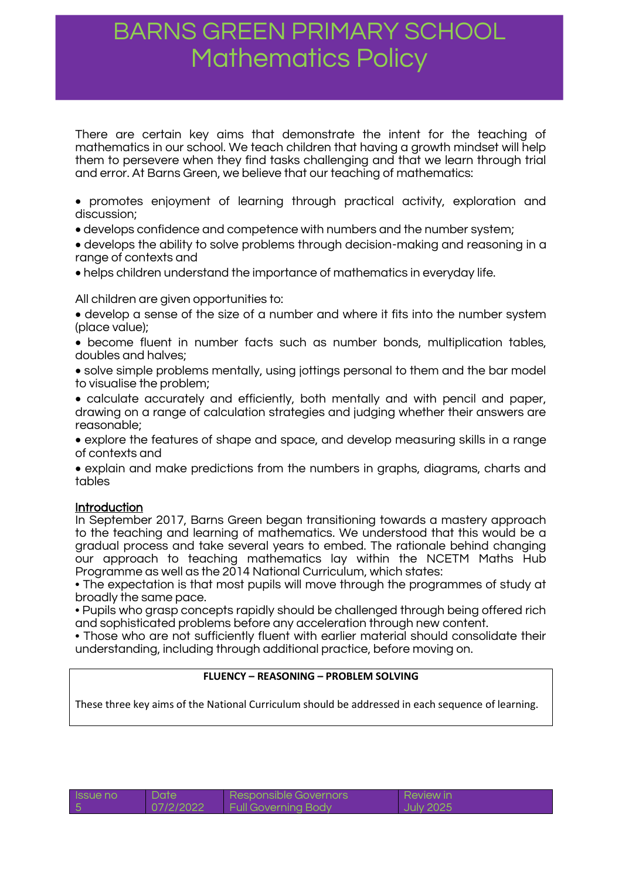There are certain key aims that demonstrate the intent for the teaching of mathematics in our school. We teach children that having a growth mindset will help them to persevere when they find tasks challenging and that we learn through trial and error. At Barns Green, we believe that our teaching of mathematics:

 promotes enjoyment of learning through practical activity, exploration and discussion;

develops confidence and competence with numbers and the number system;

 develops the ability to solve problems through decision-making and reasoning in a range of contexts and

helps children understand the importance of mathematics in everyday life.

All children are given opportunities to:

 develop a sense of the size of a number and where it fits into the number system (place value);

 become fluent in number facts such as number bonds, multiplication tables, doubles and halves;

 solve simple problems mentally, using jottings personal to them and the bar model to visualise the problem;

 calculate accurately and efficiently, both mentally and with pencil and paper, drawing on a range of calculation strategies and judging whether their answers are reasonable;

 explore the features of shape and space, and develop measuring skills in a range of contexts and

 explain and make predictions from the numbers in graphs, diagrams, charts and tables

#### **Introduction**

In September 2017, Barns Green began transitioning towards a mastery approach to the teaching and learning of mathematics. We understood that this would be a gradual process and take several years to embed. The rationale behind changing our approach to teaching mathematics lay within the NCETM Maths Hub Programme as well as the 2014 National Curriculum, which states:

• The expectation is that most pupils will move through the programmes of study at broadly the same pace.

• Pupils who grasp concepts rapidly should be challenged through being offered rich and sophisticated problems before any acceleration through new content.

• Those who are not sufficiently fluent with earlier material should consolidate their understanding, including through additional practice, before moving on.

#### **FLUENCY – REASONING – PROBLEM SOLVING**

These three key aims of the National Curriculum should be addressed in each sequence of learning.

| <b>ISSUE NO</b> | Date      | Responsible Governors      | Review in |
|-----------------|-----------|----------------------------|-----------|
|                 | 07/2/2022 | <b>Full Governing Body</b> | July 2025 |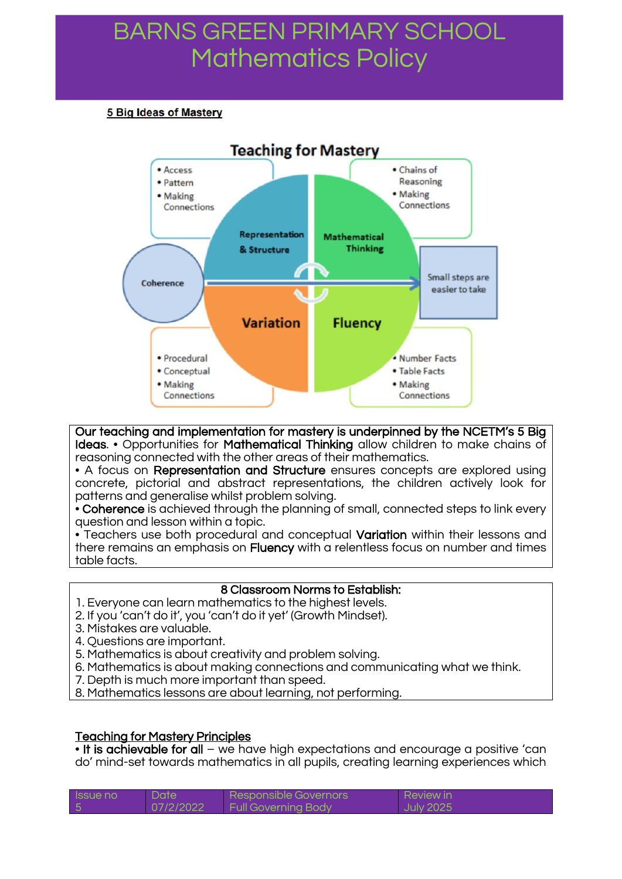#### **5 Big Ideas of Mastery**



 Our teaching and implementation for mastery is underpinned by the NCETM's 5 Big Ideas. • Opportunities for Mathematical Thinking allow children to make chains of reasoning connected with the other areas of their mathematics.

• A focus on Representation and Structure ensures concepts are explored using concrete, pictorial and abstract representations, the children actively look for patterns and generalise whilst problem solving.

• Coherence is achieved through the planning of small, connected steps to link every question and lesson within a topic.

• Teachers use both procedural and conceptual Variation within their lessons and there remains an emphasis on Fluency with a relentless focus on number and times table facts.

#### 8 Classroom Norms to Establish:

- 1. Everyone can learn mathematics to the highest levels.
- 2. If you 'can't do it', you 'can't do it yet' (Growth Mindset).
- 3. Mistakes are valuable.
- 4. Questions are important.
- 5. Mathematics is about creativity and problem solving.
- 6. Mathematics is about making connections and communicating what we think.
- 7. Depth is much more important than speed.
- 8. Mathematics lessons are about learning, not performing.

### Teaching for Mastery Principles

• It is achievable for all – we have high expectations and encourage a positive 'can do' mind-set towards mathematics in all pupils, creating learning experiences which

| <b>Issue no</b> | Date <sup>1</sup> | Responsible Governors      | <b>Review in</b> |
|-----------------|-------------------|----------------------------|------------------|
|                 | 07/2/2022         | <b>Full Governing Body</b> | <b>July 2025</b> |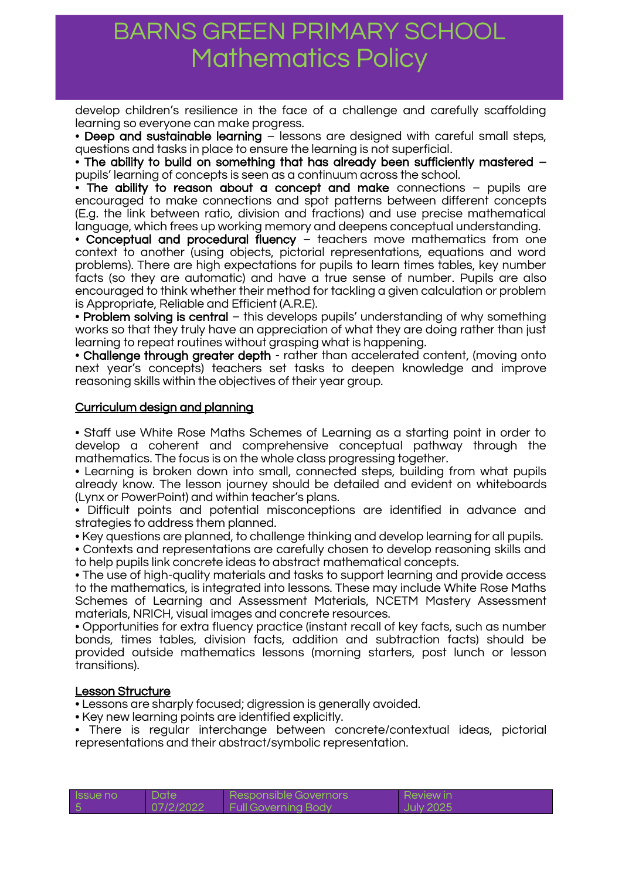develop children's resilience in the face of a challenge and carefully scaffolding learning so everyone can make progress.

• Deep and sustainable learning – lessons are designed with careful small steps, questions and tasks in place to ensure the learning is not superficial.

• The ability to build on something that has already been sufficiently mastered – pupils' learning of concepts is seen as a continuum across the school.

• The ability to reason about a concept and make connections – pupils are encouraged to make connections and spot patterns between different concepts (E.g. the link between ratio, division and fractions) and use precise mathematical language, which frees up working memory and deepens conceptual understanding.

• Conceptual and procedural fluency – teachers move mathematics from one context to another (using objects, pictorial representations, equations and word problems). There are high expectations for pupils to learn times tables, key number facts (so they are automatic) and have a true sense of number. Pupils are also encouraged to think whether their method for tackling a given calculation or problem is Appropriate, Reliable and Efficient (A.R.E).

• Problem solving is central – this develops pupils' understanding of why something works so that they truly have an appreciation of what they are doing rather than just learning to repeat routines without grasping what is happening.

• Challenge through greater depth - rather than accelerated content, (moving onto next year's concepts) teachers set tasks to deepen knowledge and improve reasoning skills within the objectives of their year group.

### Curriculum design and planning

• Staff use White Rose Maths Schemes of Learning as a starting point in order to develop a coherent and comprehensive conceptual pathway through the mathematics. The focus is on the whole class progressing together.

• Learning is broken down into small, connected steps, building from what pupils already know. The lesson journey should be detailed and evident on whiteboards (Lynx or PowerPoint) and within teacher's plans.

• Difficult points and potential misconceptions are identified in advance and strategies to address them planned.

• Key questions are planned, to challenge thinking and develop learning for all pupils.

• Contexts and representations are carefully chosen to develop reasoning skills and to help pupils link concrete ideas to abstract mathematical concepts.

• The use of high-quality materials and tasks to support learning and provide access to the mathematics, is integrated into lessons. These may include White Rose Maths Schemes of Learning and Assessment Materials, NCETM Mastery Assessment materials, NRICH, visual images and concrete resources.

• Opportunities for extra fluency practice (instant recall of key facts, such as number bonds, times tables, division facts, addition and subtraction facts) should be provided outside mathematics lessons (morning starters, post lunch or lesson transitions).

#### Lesson Structure

• Lessons are sharply focused; digression is generally avoided.

• Key new learning points are identified explicitly.

• There is regular interchange between concrete/contextual ideas, pictorial representations and their abstract/symbolic representation.

| <b>ISSUE NO</b> | Date      | Responsible Governors      | <b>Review in</b> |
|-----------------|-----------|----------------------------|------------------|
|                 | 07/2/2022 | <b>Full Governing Body</b> | <b>July 2025</b> |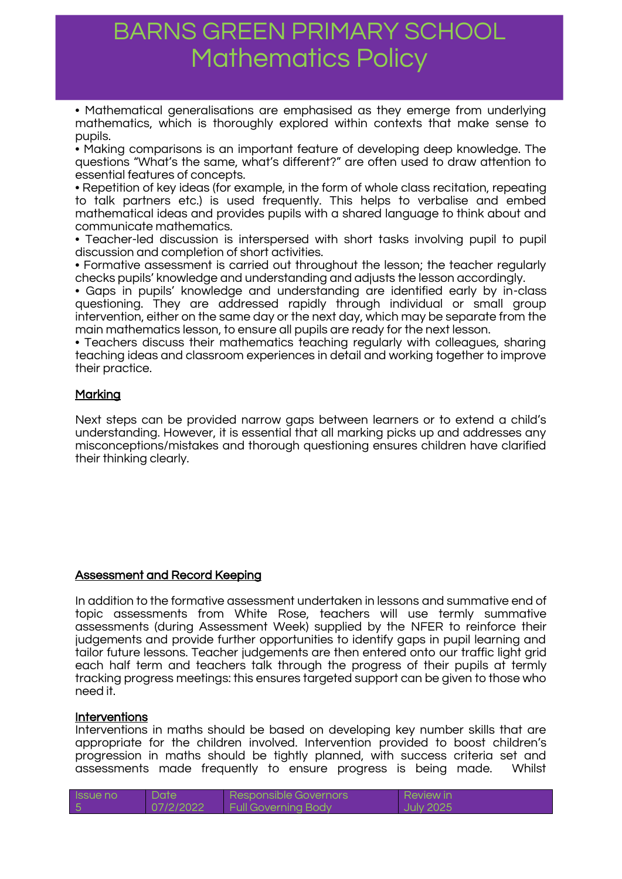• Mathematical generalisations are emphasised as they emerge from underlying mathematics, which is thoroughly explored within contexts that make sense to pupils.

• Making comparisons is an important feature of developing deep knowledge. The questions "What's the same, what's different?" are often used to draw attention to essential features of concepts.

• Repetition of key ideas (for example, in the form of whole class recitation, repeating to talk partners etc.) is used frequently. This helps to verbalise and embed mathematical ideas and provides pupils with a shared language to think about and communicate mathematics.

• Teacher-led discussion is interspersed with short tasks involving pupil to pupil discussion and completion of short activities.

• Formative assessment is carried out throughout the lesson; the teacher regularly checks pupils' knowledge and understanding and adjusts the lesson accordingly.

• Gaps in pupils' knowledge and understanding are identified early by in-class questioning. They are addressed rapidly through individual or small group intervention, either on the same day or the next day, which may be separate from the main mathematics lesson, to ensure all pupils are ready for the next lesson.

• Teachers discuss their mathematics teaching regularly with colleagues, sharing teaching ideas and classroom experiences in detail and working together to improve their practice.

### Marking

Next steps can be provided narrow gaps between learners or to extend a child's understanding. However, it is essential that all marking picks up and addresses any misconceptions/mistakes and thorough questioning ensures children have clarified their thinking clearly.

### Assessment and Record Keeping

In addition to the formative assessment undertaken in lessons and summative end of topic assessments from White Rose, teachers will use termly summative assessments (during Assessment Week) supplied by the NFER to reinforce their judgements and provide further opportunities to identify gaps in pupil learning and tailor future lessons. Teacher judgements are then entered onto our traffic light grid each half term and teachers talk through the progress of their pupils at termly tracking progress meetings: this ensures targeted support can be given to those who need it.

#### Interventions

Interventions in maths should be based on developing key number skills that are appropriate for the children involved. Intervention provided to boost children's progression in maths should be tightly planned, with success criteria set and assessments made frequently to ensure progress is being made. Whilst

| <b>Issue no</b> | Date <sup>1</sup> | Responsible Governors      | <b>Review in</b> |
|-----------------|-------------------|----------------------------|------------------|
|                 | 07/2/2022         | <b>Full Governing Body</b> | <b>July 2025</b> |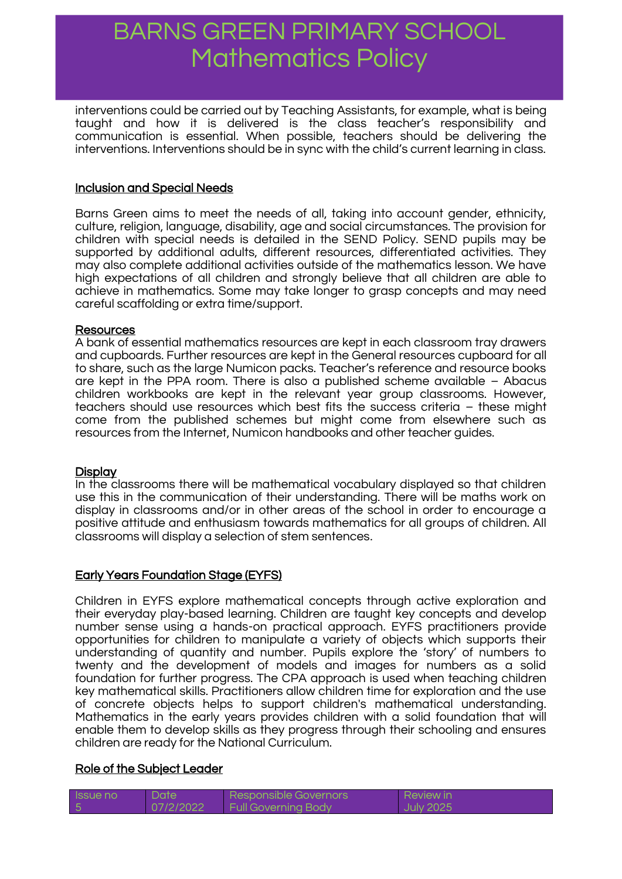interventions could be carried out by Teaching Assistants, for example, what is being taught and how it is delivered is the class teacher's responsibility and communication is essential. When possible, teachers should be delivering the interventions. Interventions should be in sync with the child's current learning in class.

### Inclusion and Special Needs

Barns Green aims to meet the needs of all, taking into account gender, ethnicity, culture, religion, language, disability, age and social circumstances. The provision for children with special needs is detailed in the SEND Policy. SEND pupils may be supported by additional adults, different resources, differentiated activities. They may also complete additional activities outside of the mathematics lesson. We have high expectations of all children and strongly believe that all children are able to achieve in mathematics. Some may take longer to grasp concepts and may need careful scaffolding or extra time/support.

#### Resources

A bank of essential mathematics resources are kept in each classroom tray drawers and cupboards. Further resources are kept in the General resources cupboard for all to share, such as the large Numicon packs. Teacher's reference and resource books are kept in the PPA room. There is also a published scheme available – Abacus children workbooks are kept in the relevant year group classrooms. However, teachers should use resources which best fits the success criteria – these might come from the published schemes but might come from elsewhere such as resources from the Internet, Numicon handbooks and other teacher guides.

#### **Display**

In the classrooms there will be mathematical vocabulary displayed so that children use this in the communication of their understanding. There will be maths work on display in classrooms and/or in other areas of the school in order to encourage a positive attitude and enthusiasm towards mathematics for all groups of children. All classrooms will display a selection of stem sentences.

### Early Years Foundation Stage (EYFS)

Children in EYFS explore mathematical concepts through active exploration and their everyday play-based learning. Children are taught key concepts and develop number sense using a hands-on practical approach. EYFS practitioners provide opportunities for children to manipulate a variety of objects which supports their understanding of quantity and number. Pupils explore the 'story' of numbers to twenty and the development of models and images for numbers as a solid foundation for further progress. The CPA approach is used when teaching children key mathematical skills. Practitioners allow children time for exploration and the use of concrete objects helps to support children's mathematical understanding. Mathematics in the early years provides children with a solid foundation that will enable them to develop skills as they progress through their schooling and ensures children are ready for the National Curriculum.

#### Role of the Subject Leader

| <b>Issue no</b> | <b>Date</b> | Responsible Governors                | <b>Review in</b> |
|-----------------|-------------|--------------------------------------|------------------|
|                 | 07/2/2022   | <b>Example 1 Full Governing Body</b> | <b>July 2025</b> |